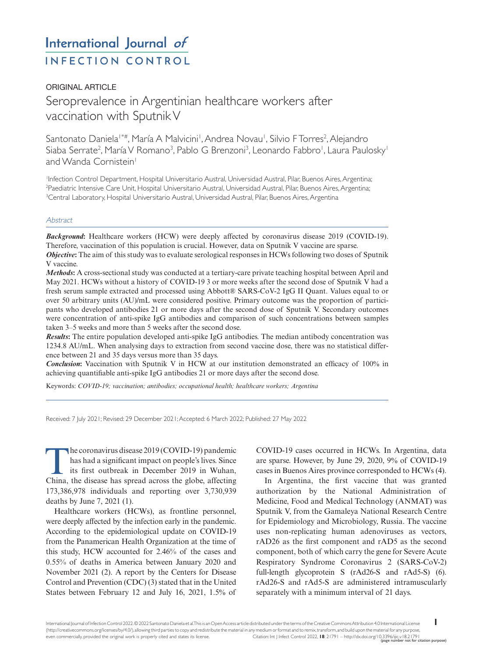# International Journal of **INFECTION CONTROL**

# ORIGINAL ARTICLE Seroprevalence in Argentinian healthcare workers after vaccination with Sputnik V

Santonato Daniela1\*#, María A Malvicini', Andrea Novau', Silvio FTorres<sup>2</sup>, Alejandro Siaba Serrate<sup>2</sup>, María V Romano<sup>3</sup>, Pablo G Brenzoni<sup>3</sup>, Leonardo Fabbro<sup>1</sup>, Laura Paulosky<sup>1</sup> and Wanda Cornistein<sup>1</sup>

1 Infection Control Department, Hospital Universitario Austral, Universidad Austral, Pilar, Buenos Aires, Argentina; 2 Paediatric Intensive Care Unit, Hospital Universitario Austral, Universidad Austral, Pilar, Buenos Aires, Argentina; 3 Central Laboratory, Hospital Universitario Austral, Universidad Austral, Pilar, Buenos Aires, Argentina

# **Abstract**

*Background***:** Healthcare workers (HCW) were deeply affected by coronavirus disease 2019 (COVID-19). Therefore, vaccination of this population is crucial. However, data on Sputnik V vaccine are sparse. *Objective***:** The aim of this study was to evaluate serological responses in HCWs following two doses of Sputnik V vaccine.

*Methods***:** A cross-sectional study was conducted at a tertiary-care private teaching hospital between April and May 2021. HCWs without a history of COVID-19 3 or more weeks after the second dose of Sputnik V had a fresh serum sample extracted and processed using Abbott® SARS-CoV-2 IgG II Quant. Values equal to or over 50 arbitrary units (AU)/mL were considered positive. Primary outcome was the proportion of participants who developed antibodies 21 or more days after the second dose of Sputnik V. Secondary outcomes were concentration of anti-spike IgG antibodies and comparison of such concentrations between samples taken 3–5 weeks and more than 5 weeks after the second dose.

*Results***:** The entire population developed anti-spike IgG antibodies. The median antibody concentration was 1234.8 AU/mL. When analysing days to extraction from second vaccine dose, there was no statistical difference between 21 and 35 days versus more than 35 days.

*Conclusion***:** Vaccination with Sputnik V in HCW at our institution demonstrated an efficacy of 100% in achieving quantifiable anti-spike IgG antibodies 21 or more days after the second dose.

Keywords: *COVID-19; vaccination; antibodies; occupational health; healthcare workers; Argentina*

Received: 7 July 2021; Revised: 29 December 2021; Accepted: 6 March 2022; Published: 27 May 2022

The coronavirus disease 2019 (COVID-19) pandemic has had a significant impact on people's lives. Since its first outbreak in December 2019 in Wuhan, China, the disease has spread across the globe, affecting 173,386,978 individuals and reporting over 3,730,939 deaths by June 7, 2021 (1).

Healthcare workers (HCWs), as frontline personnel, were deeply affected by the infection early in the pandemic. According to the epidemiological update on COVID-19 from the Panamerican Health Organization at the time of this study, HCW accounted for 2.46% of the cases and 0.55% of deaths in America between January 2020 and November 2021 (2). A report by the Centers for Disease Control and Prevention (CDC) (3) stated that in the United States between February 12 and July 16, 2021, 1.5% of

COVID-19 cases occurred in HCWs. In Argentina, data are sparse. However, by June 29, 2020, 9% of COVID-19 cases in Buenos Aires province corresponded to HCWs (4).

In Argentina, the first vaccine that was granted authorization by the National Administration of Medicine, Food and Medical Technology (ANMAT) was Sputnik V, from the Gamaleya National Research Centre for Epidemiology and Microbiology, Russia. The vaccine uses non-replicating human adenoviruses as vectors, rAD26 as the first component and rAD5 as the second component, both of which carry the gene for Severe Acute Respiratory Syndrome Coronavirus 2 (SARS-CoV-2) full-length glycoprotein S (rAd26-S and rAd5-S) (6). rAd26-S and rAd5-S are administered intramuscularly separately with a minimum interval of 21 days.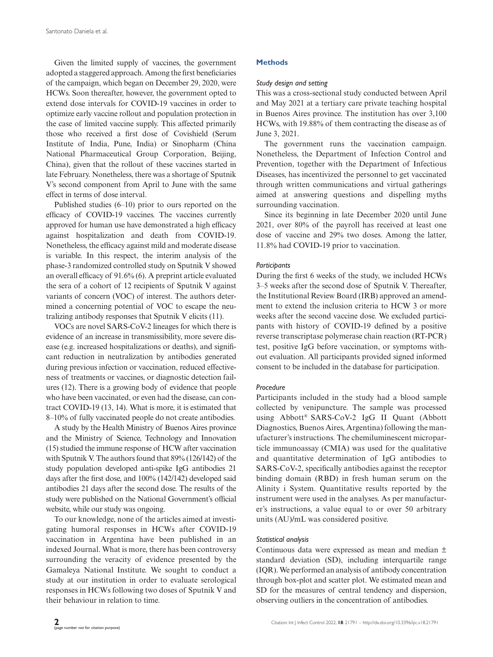Given the limited supply of vaccines, the government adopted a staggered approach. Among the first beneficiaries of the campaign, which began on December 29, 2020, were HCWs. Soon thereafter, however, the government opted to extend dose intervals for COVID-19 vaccines in order to optimize early vaccine rollout and population protection in the case of limited vaccine supply. This affected primarily those who received a first dose of Covishield (Serum Institute of India, Pune, India) or Sinopharm (China National Pharmaceutical Group Corporation, Beijing, China), given that the rollout of these vaccines started in late February. Nonetheless, there was a shortage of Sputnik V's second component from April to June with the same effect in terms of dose interval.

Published studies (6–10) prior to ours reported on the efficacy of COVID-19 vaccines. The vaccines currently approved for human use have demonstrated a high efficacy against hospitalization and death from COVID-19. Nonetheless, the efficacy against mild and moderate disease is variable. In this respect, the interim analysis of the phase-3 randomized controlled study on Sputnik V showed an overall efficacy of 91.6% (6). A preprint article evaluated the sera of a cohort of 12 recipients of Sputnik V against variants of concern (VOC) of interest. The authors determined a concerning potential of VOC to escape the neutralizing antibody responses that Sputnik V elicits (11).

VOCs are novel SARS-CoV-2 lineages for which there is evidence of an increase in transmissibility, more severe disease (e.g. increased hospitalizations or deaths), and significant reduction in neutralization by antibodies generated during previous infection or vaccination, reduced effectiveness of treatments or vaccines, or diagnostic detection failures (12). There is a growing body of evidence that people who have been vaccinated, or even had the disease, can contract COVID-19 (13, 14). What is more, it is estimated that 8–10% of fully vaccinated people do not create antibodies.

A study by the Health Ministry of Buenos Aires province and the Ministry of Science, Technology and Innovation (15) studied the immune response of HCW after vaccination with Sputnik V. The authors found that 89% (126/142) of the study population developed anti-spike IgG antibodies 21 days after the first dose, and 100% (142/142) developed said antibodies 21 days after the second dose. The results of the study were published on the National Government's official website, while our study was ongoing.

To our knowledge, none of the articles aimed at investigating humoral responses in HCWs after COVID-19 vaccination in Argentina have been published in an indexed Journal. What is more, there has been controversy surrounding the veracity of evidence presented by the Gamaleya National Institute. We sought to conduct a study at our institution in order to evaluate serological responses in HCWs following two doses of Sputnik V and their behaviour in relation to time.

# **Methods**

# *Study design and setting*

This was a cross-sectional study conducted between April and May 2021 at a tertiary care private teaching hospital in Buenos Aires province. The institution has over 3,100 HCWs, with 19.88% of them contracting the disease as of June 3, 2021.

The government runs the vaccination campaign. Nonetheless, the Department of Infection Control and Prevention, together with the Department of Infectious Diseases, has incentivized the personnel to get vaccinated through written communications and virtual gatherings aimed at answering questions and dispelling myths surrounding vaccination.

Since its beginning in late December 2020 until June 2021, over 80% of the payroll has received at least one dose of vaccine and 29% two doses. Among the latter, 11.8% had COVID-19 prior to vaccination.

#### *Participants*

During the first 6 weeks of the study, we included HCWs 3–5 weeks after the second dose of Sputnik V. Thereafter, the Institutional Review Board (IRB) approved an amendment to extend the inclusion criteria to HCW 3 or more weeks after the second vaccine dose. We excluded participants with history of COVID-19 defined by a positive reverse transcriptase polymerase chain reaction (RT-PCR) test, positive IgG before vaccination, or symptoms without evaluation. All participants provided signed informed consent to be included in the database for participation.

#### *Procedure*

Participants included in the study had a blood sample collected by venipuncture. The sample was processed using Abbott® SARS-CoV-2 IgG II Quant (Abbott Diagnostics, Buenos Aires, Argentina) following the manufacturer's instructions. The chemiluminescent microparticle immunoassay (CMIA) was used for the qualitative and quantitative determination of IgG antibodies to SARS-CoV-2, specifically antibodies against the receptor binding domain (RBD) in fresh human serum on the Alinity i System. Quantitative results reported by the instrument were used in the analyses. As per manufacturer's instructions, a value equal to or over 50 arbitrary units (AU)/mL was considered positive.

#### *Statistical analysis*

Continuous data were expressed as mean and median ± standard deviation (SD), including interquartile range (IQR). We performed an analysis of antibody concentration through box-plot and scatter plot. We estimated mean and SD for the measures of central tendency and dispersion, observing outliers in the concentration of antibodies.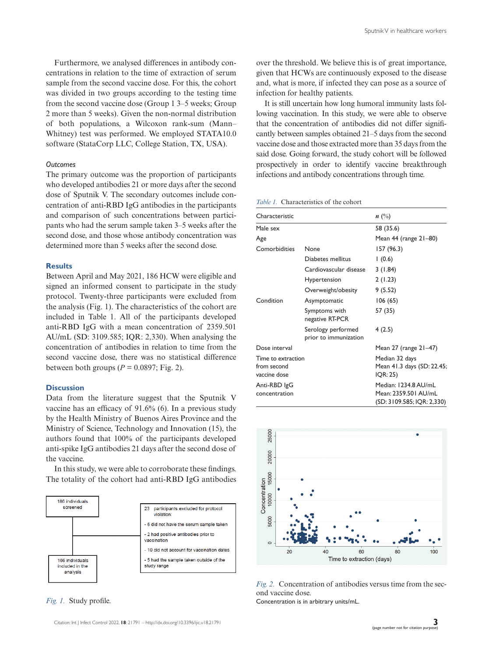Furthermore, we analysed differences in antibody concentrations in relation to the time of extraction of serum sample from the second vaccine dose. For this, the cohort was divided in two groups according to the testing time from the second vaccine dose (Group 1 3–5 weeks; Group 2 more than 5 weeks). Given the non-normal distribution of both populations, a Wilcoxon rank-sum (Mann– Whitney) test was performed. We employed STATA10.0 software (StataCorp LLC, College Station, TX, USA).

# *Outcomes*

The primary outcome was the proportion of participants who developed antibodies 21 or more days after the second dose of Sputnik V. The secondary outcomes include concentration of anti-RBD IgG antibodies in the participants and comparison of such concentrations between participants who had the serum sample taken 3–5 weeks after the second dose, and those whose antibody concentration was determined more than 5 weeks after the second dose.

# **Results**

Between April and May 2021, 186 HCW were eligible and signed an informed consent to participate in the study protocol. Twenty-three participants were excluded from the analysis (Fig. 1). The characteristics of the cohort are included in Table 1. All of the participants developed anti-RBD IgG with a mean concentration of 2359.501 AU/mL (SD: 3109.585; IQR: 2,330). When analysing the concentration of antibodies in relation to time from the second vaccine dose, there was no statistical difference between both groups  $(P = 0.0897; Fig. 2)$ .

#### **Discussion**

Data from the literature suggest that the Sputnik V vaccine has an efficacy of 91.6% (6). In a previous study by the Health Ministry of Buenos Aires Province and the Ministry of Science, Technology and Innovation (15), the authors found that 100% of the participants developed anti-spike IgG antibodies 21 days after the second dose of the vaccine.

In this study, we were able to corroborate these findings. The totality of the cohort had anti-RBD IgG antibodies



*Fig. 1.* Study profile.

over the threshold. We believe this is of great importance, given that HCWs are continuously exposed to the disease and, what is more, if infected they can pose as a source of infection for healthy patients.

It is still uncertain how long humoral immunity lasts following vaccination. In this study, we were able to observe that the concentration of antibodies did not differ significantly between samples obtained 21–5 days from the second vaccine dose and those extracted more than 35 days from the said dose. Going forward, the study cohort will be followed prospectively in order to identify vaccine breakthrough infections and antibody concentrations through time.

| Characteristic                                    |                                             | $n \ (\%)$                                                                 |
|---------------------------------------------------|---------------------------------------------|----------------------------------------------------------------------------|
| Male sex                                          |                                             | 58 (35.6)                                                                  |
| Age                                               |                                             | Mean 44 (range 21-80)                                                      |
| Comorbidities                                     | None                                        | 157 (96.3)                                                                 |
|                                                   | Diabetes mellitus                           | 1(0.6)                                                                     |
|                                                   | Cardiovascular disease                      | 3(1.84)                                                                    |
|                                                   | <b>Hypertension</b>                         | 2(1.23)                                                                    |
|                                                   | Overweight/obesity                          | 9(5.52)                                                                    |
| Condition                                         | Asymptomatic                                | 106 (65)                                                                   |
|                                                   | Symptoms with<br>negative RT-PCR            | 57 (35)                                                                    |
|                                                   | Serology performed<br>prior to immunization | 4(2.5)                                                                     |
| Dose interval                                     |                                             | Mean $27$ (range $21-47$ )                                                 |
| Time to extraction<br>from second<br>vaccine dose |                                             | Median 32 days<br>Mean 41.3 days (SD: 22.45;<br>IOR: 25)                   |
| Anti-RBD IgG<br>concentration                     |                                             | Median: 1234.8 AU/mL<br>Mean: 2359.501 AU/mL<br>(SD: 3109.585; IQR: 2,330) |



*Fig. 2.* Concentration of antibodies versus time from the second vaccine dose.

Concentration is in arbitrary units/mL.